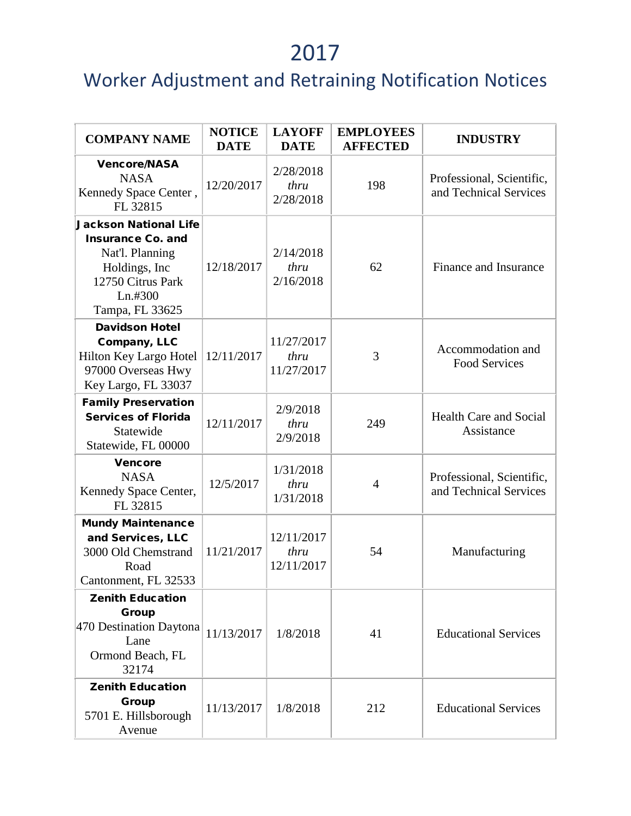| <b>COMPANY NAME</b>                                                                                                                              | <b>NOTICE</b><br><b>DATE</b> | <b>LAYOFF</b><br><b>DATE</b>     | <b>EMPLOYEES</b><br><b>AFFECTED</b> | <b>INDUSTRY</b>                                     |
|--------------------------------------------------------------------------------------------------------------------------------------------------|------------------------------|----------------------------------|-------------------------------------|-----------------------------------------------------|
| <b>Vencore/NASA</b><br><b>NASA</b><br>Kennedy Space Center,<br>FL 32815                                                                          | 12/20/2017                   | 2/28/2018<br>thru<br>2/28/2018   | 198                                 | Professional, Scientific,<br>and Technical Services |
| <b>Jackson National Life</b><br><b>Insurance Co. and</b><br>Nat'l. Planning<br>Holdings, Inc.<br>12750 Citrus Park<br>Ln.#300<br>Tampa, FL 33625 | 12/18/2017                   | 2/14/2018<br>thru<br>2/16/2018   | 62                                  | Finance and Insurance                               |
| <b>Davidson Hotel</b><br>Company, LLC<br>Hilton Key Largo Hotel<br>97000 Overseas Hwy<br>Key Largo, FL 33037                                     | 12/11/2017                   | 11/27/2017<br>thru<br>11/27/2017 | 3                                   | Accommodation and<br><b>Food Services</b>           |
| <b>Family Preservation</b><br><b>Services of Florida</b><br>Statewide<br>Statewide, FL 00000                                                     | 12/11/2017                   | 2/9/2018<br>thru<br>2/9/2018     | 249                                 | <b>Health Care and Social</b><br>Assistance         |
| <b>Vencore</b><br><b>NASA</b><br>Kennedy Space Center,<br>FL 32815                                                                               | 12/5/2017                    | 1/31/2018<br>thru<br>1/31/2018   | $\overline{4}$                      | Professional, Scientific,<br>and Technical Services |
| <b>Mundy Maintenance</b><br>and Services, LLC<br>3000 Old Chemstrand<br>Road<br>Cantonment, FL 32533                                             | 11/21/2017                   | 12/11/2017<br>thru<br>12/11/2017 | 54                                  | Manufacturing                                       |
| <b>Zenith Education</b><br>Group<br>470 Destination Daytona<br>Lane<br>Ormond Beach, FL<br>32174                                                 | 11/13/2017                   | 1/8/2018                         | 41                                  | <b>Educational Services</b>                         |
| <b>Zenith Education</b><br><b>Group</b><br>5701 E. Hillsborough<br>Avenue                                                                        | 11/13/2017                   | 1/8/2018                         | 212                                 | <b>Educational Services</b>                         |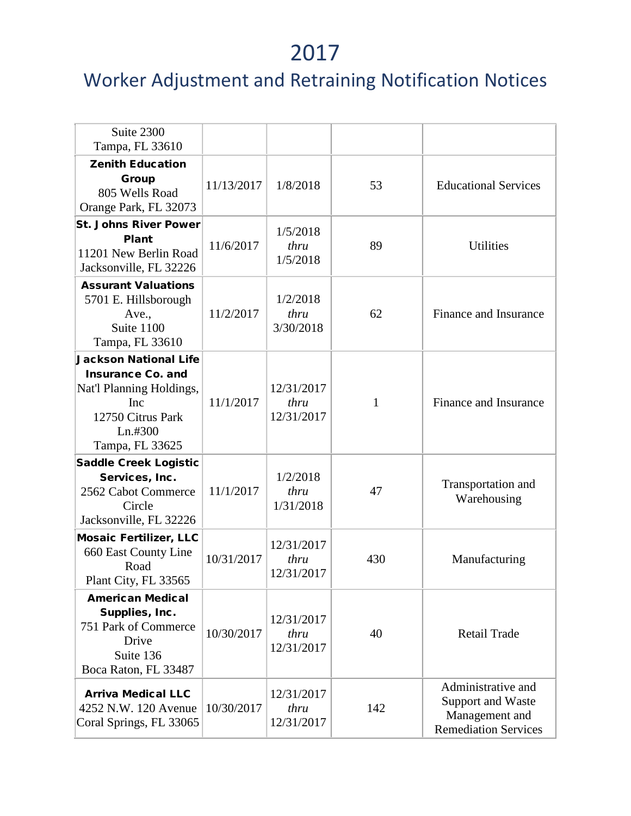| Suite 2300<br>Tampa, FL 33610                                                                                                                  |            |                                  |     |                                                                                          |
|------------------------------------------------------------------------------------------------------------------------------------------------|------------|----------------------------------|-----|------------------------------------------------------------------------------------------|
| <b>Zenith Education</b><br><b>Group</b><br>805 Wells Road<br>Orange Park, FL 32073                                                             | 11/13/2017 | 1/8/2018                         | 53  | <b>Educational Services</b>                                                              |
| <b>St. Johns River Power</b><br>Plant<br>11201 New Berlin Road<br>Jacksonville, FL 32226                                                       | 11/6/2017  | 1/5/2018<br>thru<br>1/5/2018     | 89  | <b>Utilities</b>                                                                         |
| <b>Assurant Valuations</b><br>5701 E. Hillsborough<br>Ave.,<br>Suite 1100<br>Tampa, FL 33610                                                   | 11/2/2017  | 1/2/2018<br>thru<br>3/30/2018    | 62  | Finance and Insurance                                                                    |
| <b>Jackson National Life</b><br><b>Insurance Co. and</b><br>Nat'l Planning Holdings,<br>Inc<br>12750 Citrus Park<br>Ln.#300<br>Tampa, FL 33625 | 11/1/2017  | 12/31/2017<br>thru<br>12/31/2017 | 1   | Finance and Insurance                                                                    |
| <b>Saddle Creek Logistic</b><br>Services, Inc.<br>2562 Cabot Commerce<br>Circle<br>Jacksonville, FL 32226                                      | 11/1/2017  | 1/2/2018<br>thru<br>1/31/2018    | 47  | Transportation and<br>Warehousing                                                        |
| <b>Mosaic Fertilizer, LLC</b><br>660 East County Line<br>Road<br>Plant City, FL 33565                                                          | 10/31/2017 | 12/31/2017<br>thru<br>12/31/2017 | 430 | Manufacturing                                                                            |
| <b>American Medical</b><br>Supplies, Inc.<br>751 Park of Commerce<br>Drive<br>Suite 136<br>Boca Raton, FL 33487                                | 10/30/2017 | 12/31/2017<br>thru<br>12/31/2017 | 40  | <b>Retail Trade</b>                                                                      |
| <b>Arriva Medical LLC</b><br>4252 N.W. 120 Avenue<br>Coral Springs, FL 33065                                                                   | 10/30/2017 | 12/31/2017<br>thru<br>12/31/2017 | 142 | Administrative and<br>Support and Waste<br>Management and<br><b>Remediation Services</b> |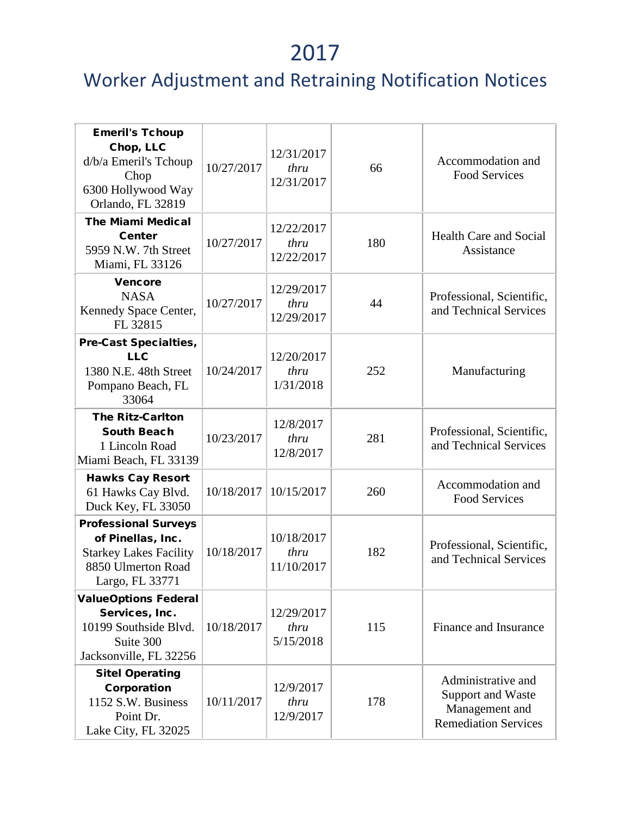| <b>Emeril's Tchoup</b><br>Chop, LLC<br>d/b/a Emeril's Tchoup<br>Chop<br>6300 Hollywood Way<br>Orlando, FL 32819            | 10/27/2017 | 12/31/2017<br>thru<br>12/31/2017 | 66  | Accommodation and<br><b>Food Services</b>                                                |
|----------------------------------------------------------------------------------------------------------------------------|------------|----------------------------------|-----|------------------------------------------------------------------------------------------|
| <b>The Miami Medical</b><br><b>Center</b><br>5959 N.W. 7th Street<br>Miami, FL 33126                                       | 10/27/2017 | 12/22/2017<br>thru<br>12/22/2017 | 180 | <b>Health Care and Social</b><br>Assistance                                              |
| <b>Vencore</b><br><b>NASA</b><br>Kennedy Space Center,<br>FL 32815                                                         | 10/27/2017 | 12/29/2017<br>thru<br>12/29/2017 | 44  | Professional, Scientific,<br>and Technical Services                                      |
| <b>Pre-Cast Specialties,</b><br><b>LLC</b><br>1380 N.E. 48th Street<br>Pompano Beach, FL<br>33064                          | 10/24/2017 | 12/20/2017<br>thru<br>1/31/2018  | 252 | Manufacturing                                                                            |
| <b>The Ritz-Carlton</b><br><b>South Beach</b><br>1 Lincoln Road<br>Miami Beach, FL 33139                                   | 10/23/2017 | 12/8/2017<br>thru<br>12/8/2017   | 281 | Professional, Scientific,<br>and Technical Services                                      |
| <b>Hawks Cay Resort</b><br>61 Hawks Cay Blvd.<br>Duck Key, FL 33050                                                        | 10/18/2017 | 10/15/2017                       | 260 | Accommodation and<br><b>Food Services</b>                                                |
| <b>Professional Surveys</b><br>of Pinellas, Inc.<br><b>Starkey Lakes Facility</b><br>8850 Ulmerton Road<br>Largo, FL 33771 | 10/18/2017 | 10/18/2017<br>thru<br>11/10/2017 | 182 | Professional, Scientific,<br>and Technical Services                                      |
| <b>ValueOptions Federal</b><br>Services, Inc.<br>10199 Southside Blvd.<br>Suite 300<br>Jacksonville, FL 32256              | 10/18/2017 | 12/29/2017<br>thru<br>5/15/2018  | 115 | Finance and Insurance                                                                    |
| <b>Sitel Operating</b><br>Corporation<br>1152 S.W. Business<br>Point Dr.<br>Lake City, FL 32025                            | 10/11/2017 | 12/9/2017<br>thru<br>12/9/2017   | 178 | Administrative and<br>Support and Waste<br>Management and<br><b>Remediation Services</b> |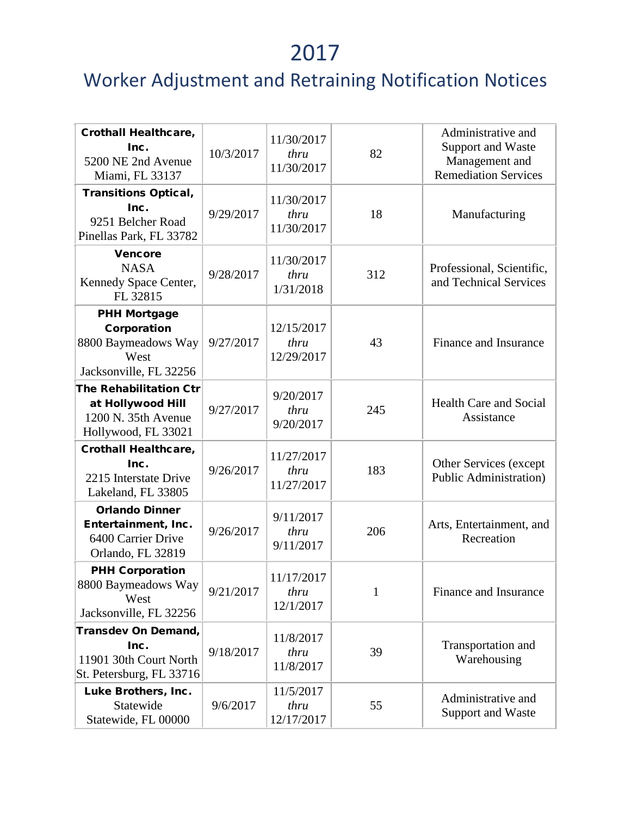| <b>Crothall Healthcare,</b><br>Inc.<br>5200 NE 2nd Avenue<br>Miami, FL 33137                     | 10/3/2017 | 11/30/2017<br>thru<br>11/30/2017 | 82           | Administrative and<br>Support and Waste<br>Management and<br><b>Remediation Services</b> |
|--------------------------------------------------------------------------------------------------|-----------|----------------------------------|--------------|------------------------------------------------------------------------------------------|
| <b>Transitions Optical,</b><br>Inc.<br>9251 Belcher Road<br>Pinellas Park, FL 33782              | 9/29/2017 | 11/30/2017<br>thru<br>11/30/2017 | 18           | Manufacturing                                                                            |
| <b>Vencore</b><br><b>NASA</b><br>Kennedy Space Center,<br>FL 32815                               | 9/28/2017 | 11/30/2017<br>thru<br>1/31/2018  | 312          | Professional, Scientific,<br>and Technical Services                                      |
| <b>PHH Mortgage</b><br>Corporation<br>8800 Baymeadows Way<br>West<br>Jacksonville, FL 32256      | 9/27/2017 | 12/15/2017<br>thru<br>12/29/2017 | 43           | Finance and Insurance                                                                    |
| <b>The Rehabilitation Ctr</b><br>at Hollywood Hill<br>1200 N. 35th Avenue<br>Hollywood, FL 33021 | 9/27/2017 | 9/20/2017<br>thru<br>9/20/2017   | 245          | <b>Health Care and Social</b><br>Assistance                                              |
| <b>Crothall Healthcare,</b><br>Inc.<br>2215 Interstate Drive<br>Lakeland, FL 33805               | 9/26/2017 | 11/27/2017<br>thru<br>11/27/2017 | 183          | Other Services (except<br><b>Public Administration</b> )                                 |
| <b>Orlando Dinner</b><br>Entertainment, Inc.<br>6400 Carrier Drive<br>Orlando, FL 32819          | 9/26/2017 | 9/11/2017<br>thru<br>9/11/2017   | 206          | Arts, Entertainment, and<br>Recreation                                                   |
| <b>PHH Corporation</b><br>8800 Baymeadows Way<br>West<br>Jacksonville, FL 32256                  | 9/21/2017 | 11/17/2017<br>thru<br>12/1/2017  | $\mathbf{1}$ | Finance and Insurance                                                                    |
| Transdev On Demand,<br>Inc.<br>11901 30th Court North<br>St. Petersburg, FL 33716                | 9/18/2017 | 11/8/2017<br>thru<br>11/8/2017   | 39           | Transportation and<br>Warehousing                                                        |
| Luke Brothers, Inc.<br>Statewide<br>Statewide, FL 00000                                          | 9/6/2017  | 11/5/2017<br>thru<br>12/17/2017  | 55           | Administrative and<br>Support and Waste                                                  |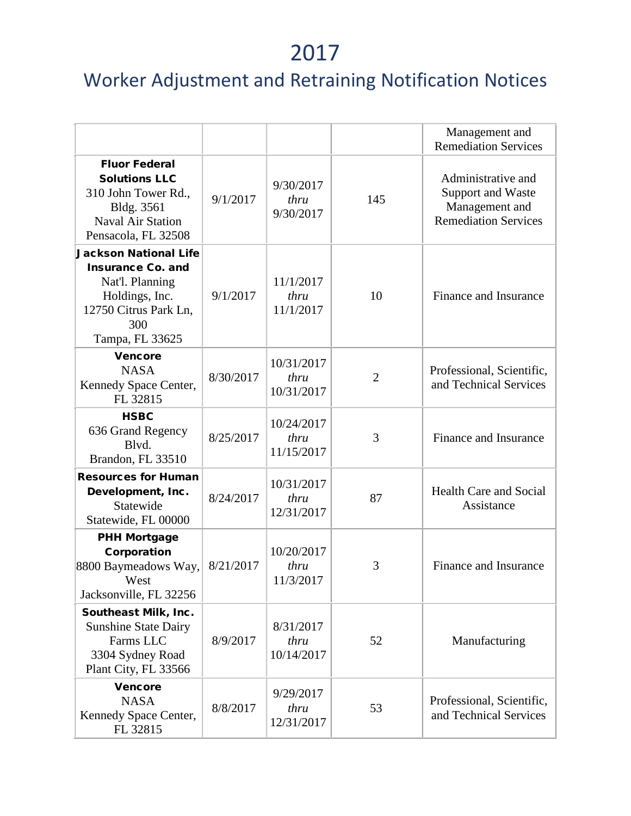|                                                                                                                                                  |           |                                  |                | Management and<br><b>Remediation Services</b>                                            |
|--------------------------------------------------------------------------------------------------------------------------------------------------|-----------|----------------------------------|----------------|------------------------------------------------------------------------------------------|
| <b>Fluor Federal</b><br><b>Solutions LLC</b><br>310 John Tower Rd.,<br>Bldg. 3561<br>Naval Air Station<br>Pensacola, FL 32508                    | 9/1/2017  | 9/30/2017<br>thru<br>9/30/2017   | 145            | Administrative and<br>Support and Waste<br>Management and<br><b>Remediation Services</b> |
| <b>Jackson National Life</b><br><b>Insurance Co. and</b><br>Nat'l. Planning<br>Holdings, Inc.<br>12750 Citrus Park Ln,<br>300<br>Tampa, FL 33625 | 9/1/2017  | 11/1/2017<br>thru<br>11/1/2017   | 10             | Finance and Insurance                                                                    |
| <b>Vencore</b><br><b>NASA</b><br>Kennedy Space Center,<br>FL 32815                                                                               | 8/30/2017 | 10/31/2017<br>thru<br>10/31/2017 | $\overline{2}$ | Professional, Scientific,<br>and Technical Services                                      |
| <b>HSBC</b><br>636 Grand Regency<br>Blvd.<br>Brandon, FL 33510                                                                                   | 8/25/2017 | 10/24/2017<br>thru<br>11/15/2017 | 3              | Finance and Insurance                                                                    |
| <b>Resources for Human</b><br>Development, Inc.<br>Statewide<br>Statewide, FL 00000                                                              | 8/24/2017 | 10/31/2017<br>thru<br>12/31/2017 | 87             | <b>Health Care and Social</b><br>Assistance                                              |
| <b>PHH Mortgage</b><br>Corporation<br>8800 Baymeadows Way,<br>West<br>Jacksonville, FL 32256                                                     | 8/21/2017 | 10/20/2017<br>thru<br>11/3/2017  | 3              | Finance and Insurance                                                                    |
| Southeast Milk, Inc.<br><b>Sunshine State Dairy</b><br>Farms LLC<br>3304 Sydney Road<br>Plant City, FL 33566                                     | 8/9/2017  | 8/31/2017<br>thru<br>10/14/2017  | 52             | Manufacturing                                                                            |
| <b>Vencore</b><br><b>NASA</b><br>Kennedy Space Center,<br>FL 32815                                                                               | 8/8/2017  | 9/29/2017<br>thru<br>12/31/2017  | 53             | Professional, Scientific,<br>and Technical Services                                      |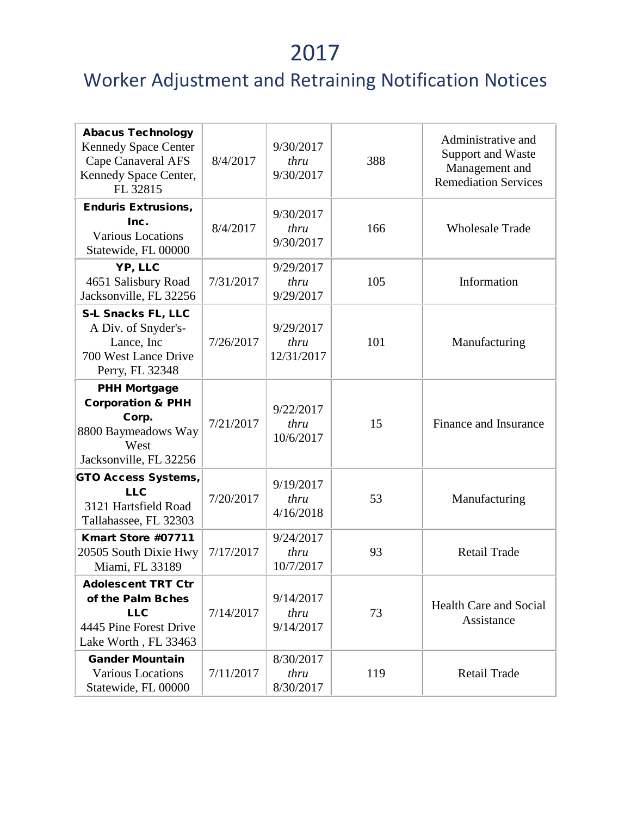| <b>Abacus Technology</b><br><b>Kennedy Space Center</b><br><b>Cape Canaveral AFS</b><br>Kennedy Space Center,<br>FL 32815 | 8/4/2017  | 9/30/2017<br>thru<br>9/30/2017  | 388 | Administrative and<br>Support and Waste<br>Management and<br><b>Remediation Services</b> |
|---------------------------------------------------------------------------------------------------------------------------|-----------|---------------------------------|-----|------------------------------------------------------------------------------------------|
| <b>Enduris Extrusions,</b><br>Inc.<br><b>Various Locations</b><br>Statewide, FL 00000                                     | 8/4/2017  | 9/30/2017<br>thru<br>9/30/2017  | 166 | <b>Wholesale Trade</b>                                                                   |
| YP, LLC<br>4651 Salisbury Road<br>Jacksonville, FL 32256                                                                  | 7/31/2017 | 9/29/2017<br>thru<br>9/29/2017  | 105 | Information                                                                              |
| S-L Snacks FL, LLC<br>A Div. of Snyder's-<br>Lance, Inc<br>700 West Lance Drive<br>Perry, FL 32348                        | 7/26/2017 | 9/29/2017<br>thru<br>12/31/2017 | 101 | Manufacturing                                                                            |
| <b>PHH Mortgage</b><br><b>Corporation &amp; PHH</b><br>Corp.<br>8800 Baymeadows Way<br>West<br>Jacksonville, FL 32256     | 7/21/2017 | 9/22/2017<br>thru<br>10/6/2017  | 15  | Finance and Insurance                                                                    |
| <b>GTO Access Systems,</b><br><b>LLC</b><br>3121 Hartsfield Road<br>Tallahassee, FL 32303                                 | 7/20/2017 | 9/19/2017<br>thru<br>4/16/2018  | 53  | Manufacturing                                                                            |
| Kmart Store #07711<br>20505 South Dixie Hwy<br>Miami, FL 33189                                                            | 7/17/2017 | 9/24/2017<br>thru<br>10/7/2017  | 93  | <b>Retail Trade</b>                                                                      |
| <b>Adolescent TRT Ctr</b><br>of the Palm Bches<br><b>LLC</b><br>4445 Pine Forest Drive<br>Lake Worth, FL 33463            | 7/14/2017 | 9/14/2017<br>thru<br>9/14/2017  | 73  | Health Care and Social<br>Assistance                                                     |
| <b>Gander Mountain</b><br>Various Locations<br>Statewide, FL 00000                                                        | 7/11/2017 | 8/30/2017<br>thru<br>8/30/2017  | 119 | <b>Retail Trade</b>                                                                      |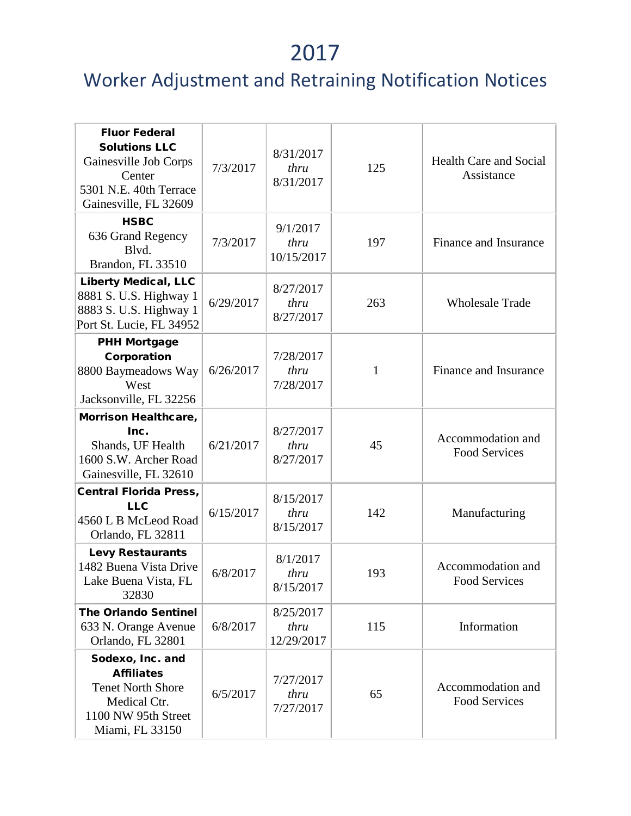| <b>Fluor Federal</b><br><b>Solutions LLC</b><br>Gainesville Job Corps<br>Center<br>5301 N.E. 40th Terrace<br>Gainesville, FL 32609 | 7/3/2017  | 8/31/2017<br>thru<br>8/31/2017  | 125 | <b>Health Care and Social</b><br>Assistance |
|------------------------------------------------------------------------------------------------------------------------------------|-----------|---------------------------------|-----|---------------------------------------------|
| <b>HSBC</b><br>636 Grand Regency<br>Blvd.<br>Brandon, FL 33510                                                                     | 7/3/2017  | 9/1/2017<br>thru<br>10/15/2017  | 197 | Finance and Insurance                       |
| <b>Liberty Medical, LLC</b><br>8881 S. U.S. Highway 1<br>8883 S. U.S. Highway 1<br>Port St. Lucie, FL 34952                        | 6/29/2017 | 8/27/2017<br>thru<br>8/27/2017  | 263 | <b>Wholesale Trade</b>                      |
| <b>PHH Mortgage</b><br>Corporation<br>8800 Baymeadows Way<br>West<br>Jacksonville, FL 32256                                        | 6/26/2017 | 7/28/2017<br>thru<br>7/28/2017  | 1   | Finance and Insurance                       |
| Morrison Healthcare,<br>Inc.<br>Shands, UF Health<br>1600 S.W. Archer Road<br>Gainesville, FL 32610                                | 6/21/2017 | 8/27/2017<br>thru<br>8/27/2017  | 45  | Accommodation and<br><b>Food Services</b>   |
| <b>Central Florida Press,</b><br><b>LLC</b><br>4560 L B McLeod Road<br>Orlando, FL 32811                                           | 6/15/2017 | 8/15/2017<br>thru<br>8/15/2017  | 142 | Manufacturing                               |
| <b>Levy Restaurants</b><br>1482 Buena Vista Drive<br>Lake Buena Vista, FL<br>32830                                                 | 6/8/2017  | 8/1/2017<br>thru<br>8/15/2017   | 193 | Accommodation and<br><b>Food Services</b>   |
| <b>The Orlando Sentinel</b><br>633 N. Orange Avenue<br>Orlando, FL 32801                                                           | 6/8/2017  | 8/25/2017<br>thru<br>12/29/2017 | 115 | Information                                 |
| Sodexo, Inc. and<br><b>Affiliates</b><br><b>Tenet North Shore</b><br>Medical Ctr.<br>1100 NW 95th Street<br>Miami, FL 33150        | 6/5/2017  | 7/27/2017<br>thru<br>7/27/2017  | 65  | Accommodation and<br><b>Food Services</b>   |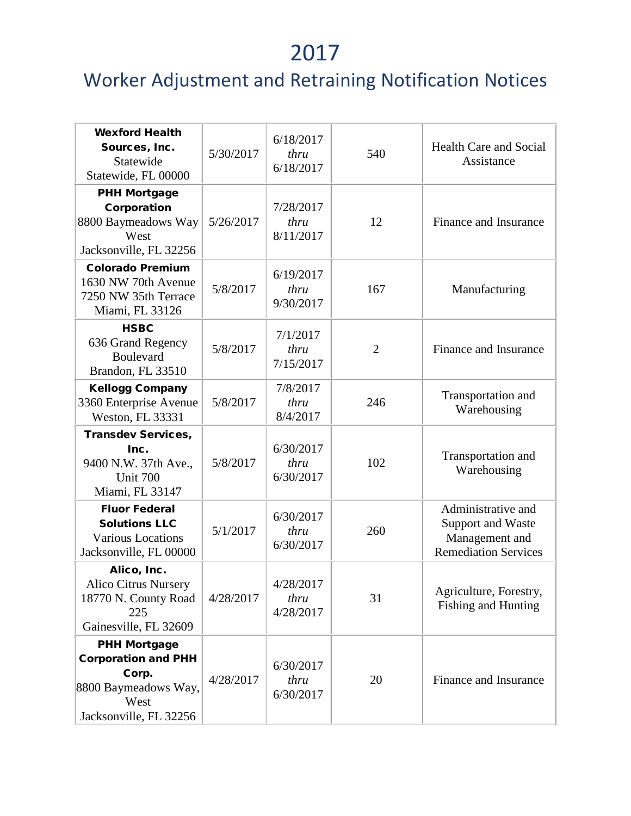| <b>Wexford Health</b><br>Sources, Inc.<br>Statewide<br>Statewide, FL 00000                                           | 5/30/2017 | 6/18/2017<br>thru<br>6/18/2017 | 540            | <b>Health Care and Social</b><br>Assistance                                              |
|----------------------------------------------------------------------------------------------------------------------|-----------|--------------------------------|----------------|------------------------------------------------------------------------------------------|
| <b>PHH Mortgage</b><br>Corporation<br>8800 Baymeadows Way<br>West<br>Jacksonville, FL 32256                          | 5/26/2017 | 7/28/2017<br>thru<br>8/11/2017 | 12             | Finance and Insurance                                                                    |
| <b>Colorado Premium</b><br>1630 NW 70th Avenue<br>7250 NW 35th Terrace<br>Miami, FL 33126                            | 5/8/2017  | 6/19/2017<br>thru<br>9/30/2017 | 167            | Manufacturing                                                                            |
| <b>HSBC</b><br>636 Grand Regency<br><b>Boulevard</b><br>Brandon, FL 33510                                            | 5/8/2017  | 7/1/2017<br>thru<br>7/15/2017  | $\overline{2}$ | Finance and Insurance                                                                    |
| <b>Kellogg Company</b><br>3360 Enterprise Avenue<br>Weston, FL 33331                                                 | 5/8/2017  | 7/8/2017<br>thru<br>8/4/2017   | 246            | Transportation and<br>Warehousing                                                        |
| <b>Transdev Services,</b><br>Inc.<br>9400 N.W. 37th Ave.,<br>Unit 700<br>Miami, FL 33147                             | 5/8/2017  | 6/30/2017<br>thru<br>6/30/2017 | 102            | Transportation and<br>Warehousing                                                        |
| <b>Fluor Federal</b><br><b>Solutions LLC</b><br><b>Various Locations</b><br>Jacksonville, FL 00000                   | 5/1/2017  | 6/30/2017<br>thru<br>6/30/2017 | 260            | Administrative and<br>Support and Waste<br>Management and<br><b>Remediation Services</b> |
| Alico, Inc.<br>Alico Citrus Nursery<br>18770 N. County Road<br>225<br>Gainesville, FL 32609                          | 4/28/2017 | 4/28/2017<br>thru<br>4/28/2017 | 31             | Agriculture, Forestry,<br><b>Fishing and Hunting</b>                                     |
| <b>PHH Mortgage</b><br><b>Corporation and PHH</b><br>Corp.<br>8800 Baymeadows Way,<br>West<br>Jacksonville, FL 32256 | 4/28/2017 | 6/30/2017<br>thru<br>6/30/2017 | 20             | Finance and Insurance                                                                    |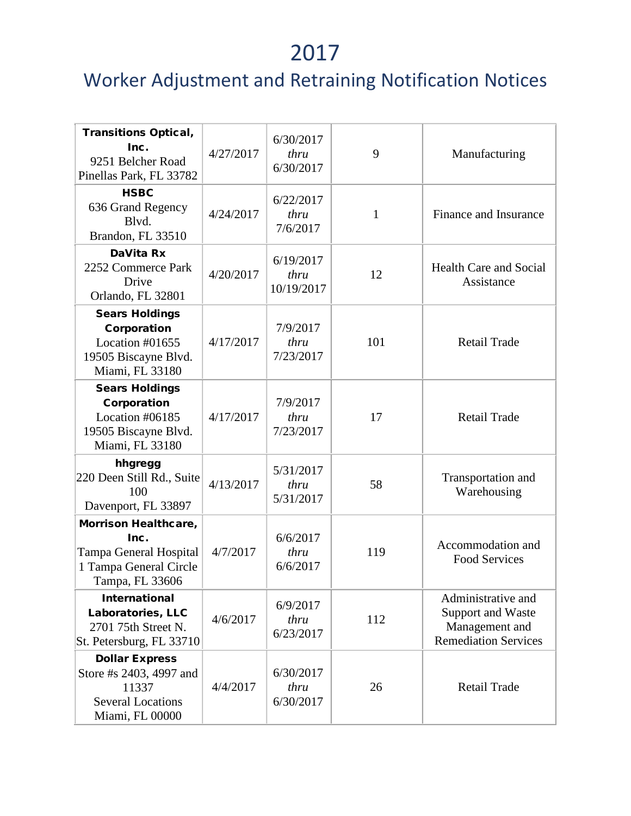| <b>Transitions Optical,</b><br>Inc.<br>9251 Belcher Road<br>Pinellas Park, FL 33782                      | 4/27/2017 | 6/30/2017<br>thru<br>6/30/2017  | 9   | Manufacturing                                                                            |
|----------------------------------------------------------------------------------------------------------|-----------|---------------------------------|-----|------------------------------------------------------------------------------------------|
| <b>HSBC</b><br>636 Grand Regency<br>Blvd.<br>Brandon, FL 33510                                           | 4/24/2017 | 6/22/2017<br>thru<br>7/6/2017   | 1   | Finance and Insurance                                                                    |
| DaVita Rx<br>2252 Commerce Park<br>Drive<br>Orlando, FL 32801                                            | 4/20/2017 | 6/19/2017<br>thru<br>10/19/2017 | 12  | <b>Health Care and Social</b><br>Assistance                                              |
| <b>Sears Holdings</b><br>Corporation<br>Location #01655<br>19505 Biscayne Blvd.<br>Miami, FL 33180       | 4/17/2017 | 7/9/2017<br>thru<br>7/23/2017   | 101 | <b>Retail Trade</b>                                                                      |
| <b>Sears Holdings</b><br>Corporation<br>Location #06185<br>19505 Biscayne Blvd.<br>Miami, FL 33180       | 4/17/2017 | 7/9/2017<br>thru<br>7/23/2017   | 17  | Retail Trade                                                                             |
| hhgregg<br>220 Deen Still Rd., Suite<br>100<br>Davenport, FL 33897                                       | 4/13/2017 | 5/31/2017<br>thru<br>5/31/2017  | 58  | Transportation and<br>Warehousing                                                        |
| Morrison Healthcare,<br>Inc.<br>Tampa General Hospital<br>1 Tampa General Circle<br>Tampa, FL 33606      | 4/7/2017  | 6/6/2017<br>thru<br>6/6/2017    | 119 | Accommodation and<br><b>Food Services</b>                                                |
| <b>International</b><br>Laboratories, LLC<br>2701 75th Street N.<br>St. Petersburg, FL 33710             | 4/6/2017  | 6/9/2017<br>thru<br>6/23/2017   | 112 | Administrative and<br>Support and Waste<br>Management and<br><b>Remediation Services</b> |
| <b>Dollar Express</b><br>Store #s 2403, 4997 and<br>11337<br><b>Several Locations</b><br>Miami, FL 00000 | 4/4/2017  | 6/30/2017<br>thru<br>6/30/2017  | 26  | <b>Retail Trade</b>                                                                      |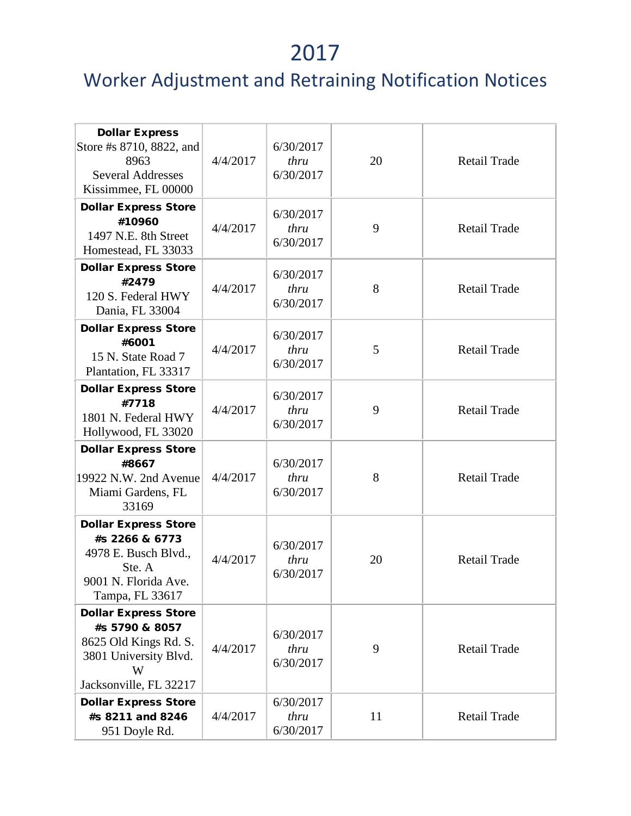| <b>Dollar Express</b><br>Store #s 8710, 8822, and<br>8963<br><b>Several Addresses</b><br>Kissimmee, FL 00000                   | 4/4/2017 | 6/30/2017<br>thru<br>6/30/2017 | 20 | <b>Retail Trade</b> |
|--------------------------------------------------------------------------------------------------------------------------------|----------|--------------------------------|----|---------------------|
| <b>Dollar Express Store</b><br>#10960<br>1497 N.E. 8th Street<br>Homestead, FL 33033                                           | 4/4/2017 | 6/30/2017<br>thru<br>6/30/2017 | 9  | <b>Retail Trade</b> |
| <b>Dollar Express Store</b><br>#2479<br>120 S. Federal HWY<br>Dania, FL 33004                                                  | 4/4/2017 | 6/30/2017<br>thru<br>6/30/2017 | 8  | <b>Retail Trade</b> |
| <b>Dollar Express Store</b><br>#6001<br>15 N. State Road 7<br>Plantation, FL 33317                                             | 4/4/2017 | 6/30/2017<br>thru<br>6/30/2017 | 5  | Retail Trade        |
| <b>Dollar Express Store</b><br>#7718<br>1801 N. Federal HWY<br>Hollywood, FL 33020                                             | 4/4/2017 | 6/30/2017<br>thru<br>6/30/2017 | 9  | <b>Retail Trade</b> |
| <b>Dollar Express Store</b><br>#8667<br>19922 N.W. 2nd Avenue<br>Miami Gardens, FL<br>33169                                    | 4/4/2017 | 6/30/2017<br>thru<br>6/30/2017 | 8  | <b>Retail Trade</b> |
| <b>Dollar Express Store</b><br>#s 2266 & 6773<br>4978 E. Busch Blvd.,<br>Ste. A<br>9001 N. Florida Ave<br>Tampa, FL 33617      | 4/4/2017 | 6/30/2017<br>thru<br>6/30/2017 | 20 | <b>Retail Trade</b> |
| <b>Dollar Express Store</b><br>#s 5790 & 8057<br>8625 Old Kings Rd. S.<br>3801 University Blvd.<br>W<br>Jacksonville, FL 32217 | 4/4/2017 | 6/30/2017<br>thru<br>6/30/2017 | 9  | <b>Retail Trade</b> |
| <b>Dollar Express Store</b><br>#s 8211 and 8246<br>951 Doyle Rd.                                                               | 4/4/2017 | 6/30/2017<br>thru<br>6/30/2017 | 11 | <b>Retail Trade</b> |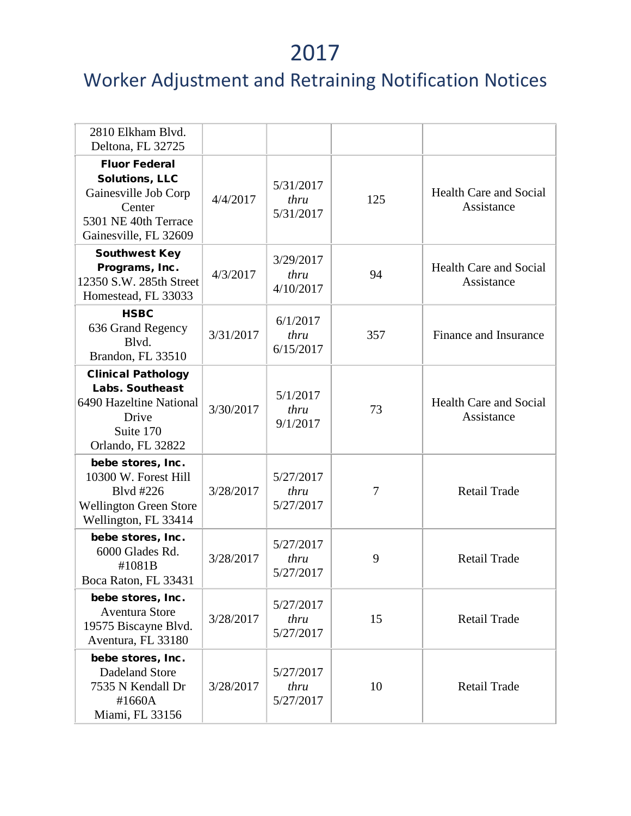| 2810 Elkham Blvd.<br>Deltona, FL 32725                                                                                           |           |                                |     |                                             |
|----------------------------------------------------------------------------------------------------------------------------------|-----------|--------------------------------|-----|---------------------------------------------|
| <b>Fluor Federal</b><br><b>Solutions, LLC</b><br>Gainesville Job Corp<br>Center<br>5301 NE 40th Terrace<br>Gainesville, FL 32609 | 4/4/2017  | 5/31/2017<br>thru<br>5/31/2017 | 125 | <b>Health Care and Social</b><br>Assistance |
| <b>Southwest Key</b><br>Programs, Inc.<br>12350 S.W. 285th Street<br>Homestead, FL 33033                                         | 4/3/2017  | 3/29/2017<br>thru<br>4/10/2017 | 94  | <b>Health Care and Social</b><br>Assistance |
| <b>HSBC</b><br>636 Grand Regency<br>Blvd.<br>Brandon, FL 33510                                                                   | 3/31/2017 | 6/1/2017<br>thru<br>6/15/2017  | 357 | Finance and Insurance                       |
| <b>Clinical Pathology</b><br><b>Labs. Southeast</b><br>6490 Hazeltine National<br>Drive<br>Suite 170<br>Orlando, FL 32822        | 3/30/2017 | 5/1/2017<br>thru<br>9/1/2017   | 73  | <b>Health Care and Social</b><br>Assistance |
| bebe stores, Inc.<br>10300 W. Forest Hill<br>Blvd #226<br><b>Wellington Green Store</b><br>Wellington, FL 33414                  | 3/28/2017 | 5/27/2017<br>thru<br>5/27/2017 | 7   | Retail Trade                                |
| bebe stores, Inc.<br>6000 Glades Rd.<br>#1081B<br>Boca Raton, FL 33431                                                           | 3/28/2017 | 5/27/2017<br>thru<br>5/27/2017 | 9   | Retail Trade                                |
| bebe stores, Inc.<br><b>Aventura Store</b><br>19575 Biscayne Blvd.<br>Aventura, FL 33180                                         | 3/28/2017 | 5/27/2017<br>thru<br>5/27/2017 | 15  | Retail Trade                                |
| bebe stores, Inc.<br>Dadeland Store<br>7535 N Kendall Dr<br>#1660A<br>Miami, FL 33156                                            | 3/28/2017 | 5/27/2017<br>thru<br>5/27/2017 | 10  | Retail Trade                                |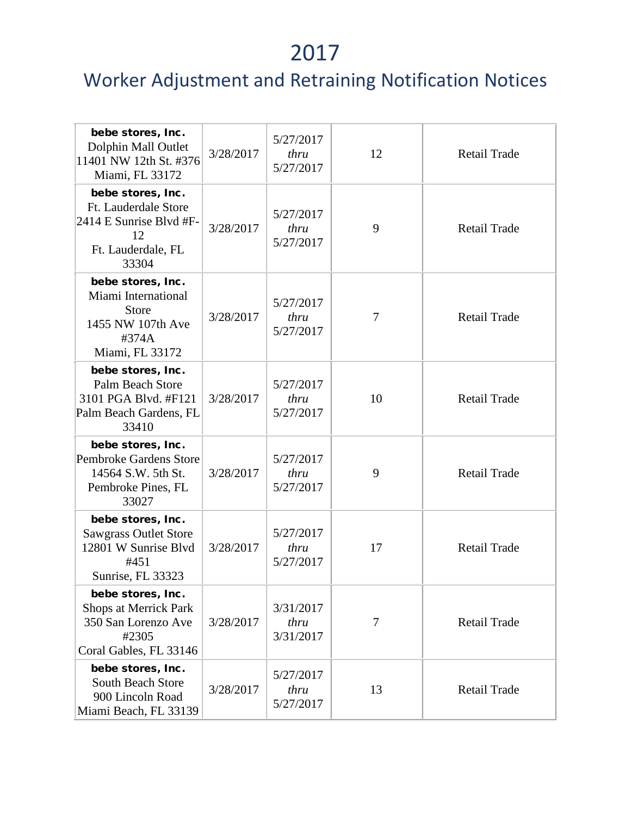| bebe stores, Inc.<br>Dolphin Mall Outlet<br>11401 NW 12th St. #376<br>Miami, FL 33172                     | 3/28/2017 | 5/27/2017<br>thru<br>5/27/2017 | 12 | Retail Trade        |
|-----------------------------------------------------------------------------------------------------------|-----------|--------------------------------|----|---------------------|
| bebe stores, Inc.<br>Ft. Lauderdale Store<br>2414 E Sunrise Blvd #F-<br>12<br>Ft. Lauderdale, FL<br>33304 | 3/28/2017 | 5/27/2017<br>thru<br>5/27/2017 | 9  | Retail Trade        |
| bebe stores, Inc.<br>Miami International<br><b>Store</b><br>1455 NW 107th Ave<br>#374A<br>Miami, FL 33172 | 3/28/2017 | 5/27/2017<br>thru<br>5/27/2017 | 7  | <b>Retail Trade</b> |
| bebe stores, Inc.<br><b>Palm Beach Store</b><br>3101 PGA Blvd. #F121<br>Palm Beach Gardens, FL<br>33410   | 3/28/2017 | 5/27/2017<br>thru<br>5/27/2017 | 10 | Retail Trade        |
| bebe stores, Inc.<br><b>Pembroke Gardens Store</b><br>14564 S.W. 5th St.<br>Pembroke Pines, FL<br>33027   | 3/28/2017 | 5/27/2017<br>thru<br>5/27/2017 | 9  | Retail Trade        |
| bebe stores, Inc.<br><b>Sawgrass Outlet Store</b><br>12801 W Sunrise Blyd<br>#451<br>Sunrise, FL 33323    | 3/28/2017 | 5/27/2017<br>thru<br>5/27/2017 | 17 | Retail Trade        |
| bebe stores, Inc.<br>Shops at Merrick Park<br>350 San Lorenzo Ave<br>#2305<br>Coral Gables, FL 33146      | 3/28/2017 | 3/31/2017<br>thru<br>3/31/2017 | 7  | <b>Retail Trade</b> |
| bebe stores, Inc.<br><b>South Beach Store</b><br>900 Lincoln Road<br>Miami Beach, FL 33139                | 3/28/2017 | 5/27/2017<br>thru<br>5/27/2017 | 13 | <b>Retail Trade</b> |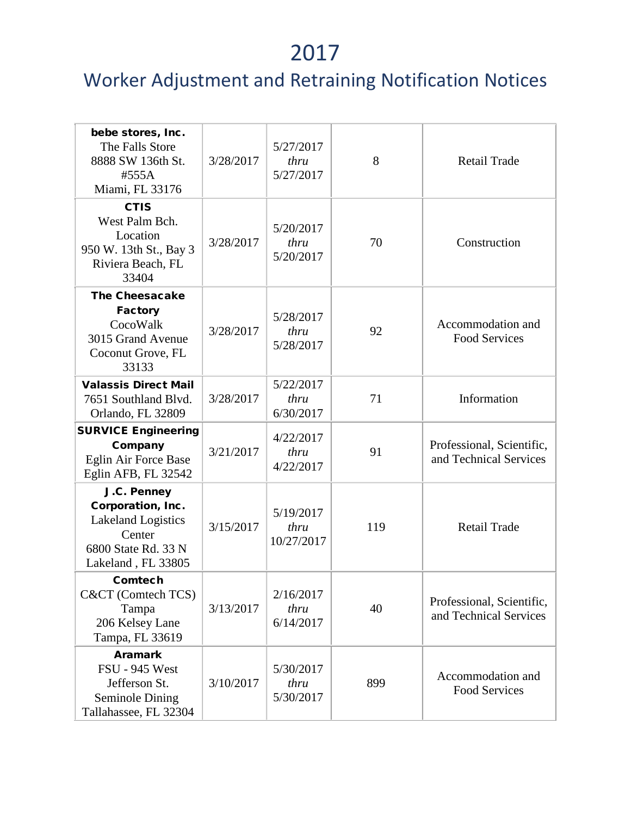| bebe stores, Inc.<br>The Falls Store<br>8888 SW 136th St.<br>#555A<br>Miami, FL 33176                                | 3/28/2017 | 5/27/2017<br>thru<br>5/27/2017  | 8   | <b>Retail Trade</b>                                 |
|----------------------------------------------------------------------------------------------------------------------|-----------|---------------------------------|-----|-----------------------------------------------------|
| <b>CTIS</b><br>West Palm Bch.<br>Location<br>950 W. 13th St., Bay 3<br>Riviera Beach, FL<br>33404                    | 3/28/2017 | 5/20/2017<br>thru<br>5/20/2017  | 70  | Construction                                        |
| <b>The Cheesacake</b><br><b>Factory</b><br>CocoWalk<br>3015 Grand Avenue<br>Coconut Grove, FL<br>33133               | 3/28/2017 | 5/28/2017<br>thru<br>5/28/2017  | 92  | Accommodation and<br><b>Food Services</b>           |
| <b>Valassis Direct Mail</b><br>7651 Southland Blvd.<br>Orlando, FL 32809                                             | 3/28/2017 | 5/22/2017<br>thru<br>6/30/2017  | 71  | Information                                         |
| <b>SURVICE Engineering</b><br>Company<br>Eglin Air Force Base<br>Eglin AFB, FL 32542                                 | 3/21/2017 | 4/22/2017<br>thru<br>4/22/2017  | 91  | Professional, Scientific,<br>and Technical Services |
| J.C. Penney<br>Corporation, Inc.<br><b>Lakeland Logistics</b><br>Center<br>6800 State Rd. 33 N<br>Lakeland, FL 33805 | 3/15/2017 | 5/19/2017<br>thru<br>10/27/2017 | 119 | <b>Retail Trade</b>                                 |
| Comtech<br>C&CT (Comtech TCS)<br>Tampa<br>206 Kelsey Lane<br>Tampa, FL 33619                                         | 3/13/2017 | 2/16/2017<br>thru<br>6/14/2017  | 40  | Professional, Scientific,<br>and Technical Services |
| <b>Aramark</b><br><b>FSU - 945 West</b><br>Jefferson St.<br><b>Seminole Dining</b><br>Tallahassee, FL 32304          | 3/10/2017 | 5/30/2017<br>thru<br>5/30/2017  | 899 | Accommodation and<br><b>Food Services</b>           |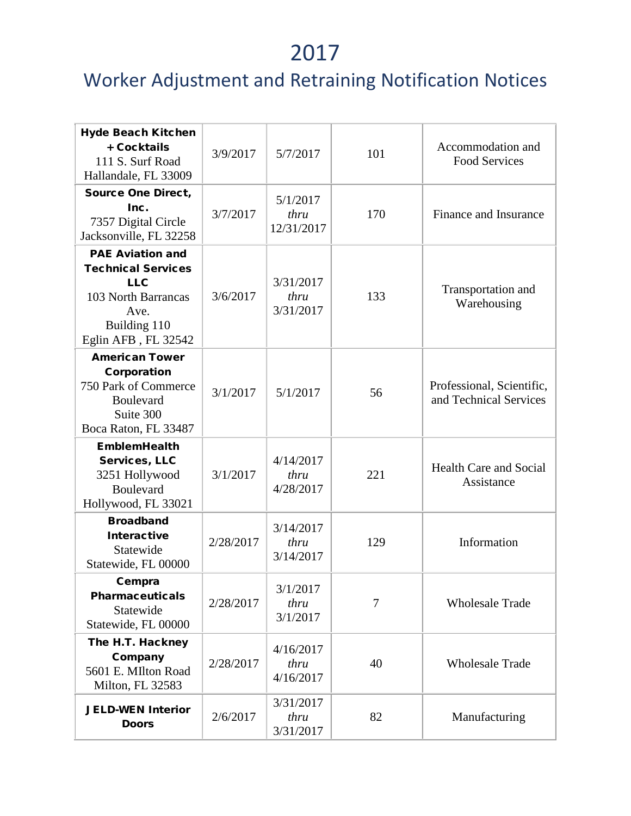| <b>Hyde Beach Kitchen</b><br>+ Cocktails<br>111 S. Surf Road<br>Hallandale, FL 33009                                                     | 3/9/2017  | 5/7/2017                       | 101 | Accommodation and<br><b>Food Services</b>           |
|------------------------------------------------------------------------------------------------------------------------------------------|-----------|--------------------------------|-----|-----------------------------------------------------|
| <b>Source One Direct,</b><br>Inc.<br>7357 Digital Circle<br>Jacksonville, FL 32258                                                       | 3/7/2017  | 5/1/2017<br>thru<br>12/31/2017 | 170 | Finance and Insurance                               |
| <b>PAE Aviation and</b><br><b>Technical Services</b><br><b>LLC</b><br>103 North Barrancas<br>Ave.<br>Building 110<br>Eglin AFB, FL 32542 | 3/6/2017  | 3/31/2017<br>thru<br>3/31/2017 | 133 | Transportation and<br>Warehousing                   |
| <b>American Tower</b><br>Corporation<br>750 Park of Commerce<br>Boulevard<br>Suite 300<br>Boca Raton, FL 33487                           | 3/1/2017  | 5/1/2017                       | 56  | Professional, Scientific,<br>and Technical Services |
| <b>EmblemHealth</b><br>Services, LLC<br>3251 Hollywood<br>Boulevard<br>Hollywood, FL 33021                                               | 3/1/2017  | 4/14/2017<br>thru<br>4/28/2017 | 221 | <b>Health Care and Social</b><br>Assistance         |
| <b>Broadband</b><br><b>Interactive</b><br>Statewide<br>Statewide, FL 00000                                                               | 2/28/2017 | 3/14/2017<br>thru<br>3/14/2017 | 129 | Information                                         |
| Cempra<br><b>Pharmaceuticals</b><br>Statewide<br>Statewide, FL 00000                                                                     | 2/28/2017 | 3/1/2017<br>thru<br>3/1/2017   | 7   | <b>Wholesale Trade</b>                              |
| The H.T. Hackney<br>Company<br>5601 E. MIlton Road<br>Milton, FL 32583                                                                   | 2/28/2017 | 4/16/2017<br>thru<br>4/16/2017 | 40  | <b>Wholesale Trade</b>                              |
| <b>JELD-WEN Interior</b><br><b>Doors</b>                                                                                                 | 2/6/2017  | 3/31/2017<br>thru<br>3/31/2017 | 82  | Manufacturing                                       |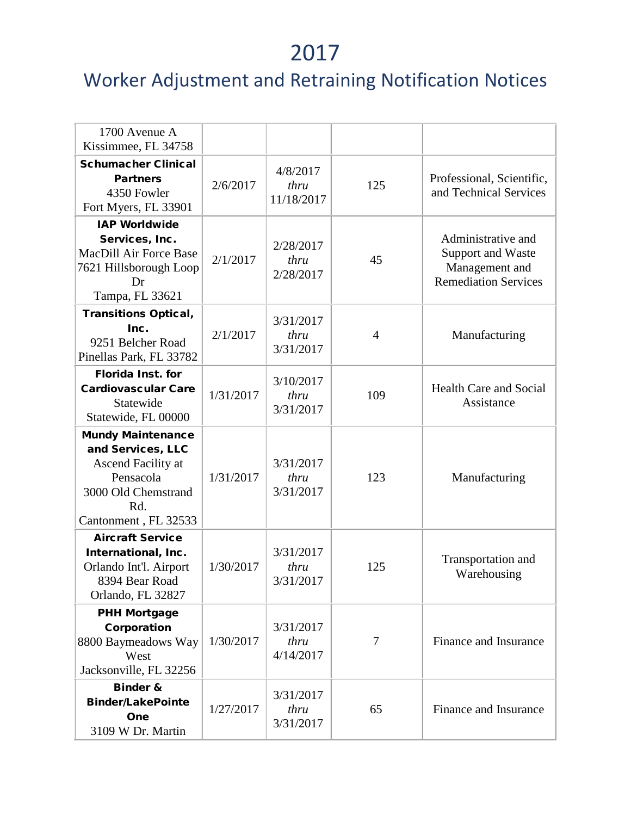| 1700 Avenue A<br>Kissimmee, FL 34758                                                                                                   |           |                                |                |                                                                                          |
|----------------------------------------------------------------------------------------------------------------------------------------|-----------|--------------------------------|----------------|------------------------------------------------------------------------------------------|
| <b>Schumacher Clinical</b><br><b>Partners</b><br>4350 Fowler<br>Fort Myers, FL 33901                                                   | 2/6/2017  | 4/8/2017<br>thru<br>11/18/2017 | 125            | Professional, Scientific,<br>and Technical Services                                      |
| <b>IAP Worldwide</b><br>Services, Inc.<br><b>MacDill Air Force Base</b><br>7621 Hillsborough Loop<br>Dr<br>Tampa, FL 33621             | 2/1/2017  | 2/28/2017<br>thru<br>2/28/2017 | 45             | Administrative and<br>Support and Waste<br>Management and<br><b>Remediation Services</b> |
| <b>Transitions Optical,</b><br>Inc.<br>9251 Belcher Road<br>Pinellas Park, FL 33782                                                    | 2/1/2017  | 3/31/2017<br>thru<br>3/31/2017 | $\overline{4}$ | Manufacturing                                                                            |
| <b>Florida Inst. for</b><br><b>Cardiovascular Care</b><br>Statewide<br>Statewide, FL 00000                                             | 1/31/2017 | 3/10/2017<br>thru<br>3/31/2017 | 109            | <b>Health Care and Social</b><br>Assistance                                              |
| <b>Mundy Maintenance</b><br>and Services, LLC<br>Ascend Facility at<br>Pensacola<br>3000 Old Chemstrand<br>Rd.<br>Cantonment, FL 32533 | 1/31/2017 | 3/31/2017<br>thru<br>3/31/2017 | 123            | Manufacturing                                                                            |
| <b>Aircraft Service</b><br>International, Inc.<br>Orlando Int'l. Airport<br>8394 Bear Road<br>Orlando, FL 32827                        | 1/30/2017 | 3/31/2017<br>thru<br>3/31/2017 | 125            | Transportation and<br>Warehousing                                                        |
| <b>PHH Mortgage</b><br>Corporation<br>8800 Baymeadows Way<br>West<br>Jacksonville, FL 32256                                            | 1/30/2017 | 3/31/2017<br>thru<br>4/14/2017 | 7              | Finance and Insurance                                                                    |
| <b>Binder &amp;</b><br><b>Binder/LakePointe</b><br>One<br>3109 W Dr. Martin                                                            | 1/27/2017 | 3/31/2017<br>thru<br>3/31/2017 | 65             | <b>Finance and Insurance</b>                                                             |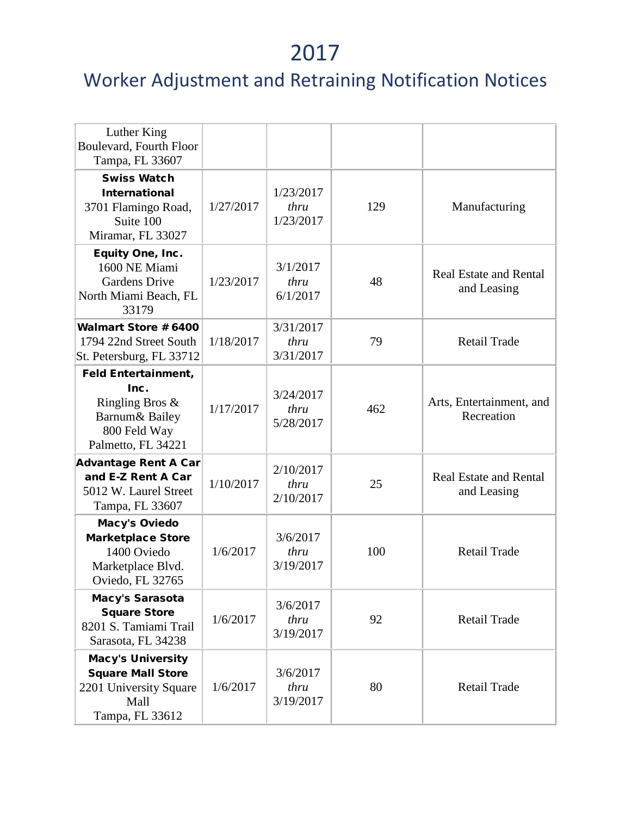| Luther King<br>Boulevard, Fourth Floor<br>Tampa, FL 33607                                                         |           |                                |     |                                              |
|-------------------------------------------------------------------------------------------------------------------|-----------|--------------------------------|-----|----------------------------------------------|
| <b>Swiss Watch</b><br><b>International</b><br>3701 Flamingo Road,<br>Suite 100<br>Miramar, FL 33027               | 1/27/2017 | 1/23/2017<br>thru<br>1/23/2017 | 129 | Manufacturing                                |
| Equity One, Inc.<br>1600 NE Miami<br><b>Gardens Drive</b><br>North Miami Beach, FL<br>33179                       | 1/23/2017 | 3/1/2017<br>thru<br>6/1/2017   | 48  | <b>Real Estate and Rental</b><br>and Leasing |
| <b>Walmart Store # 6400</b><br>1794 22nd Street South<br>St. Petersburg, FL 33712                                 | 1/18/2017 | 3/31/2017<br>thru<br>3/31/2017 | 79  | <b>Retail Trade</b>                          |
| <b>Feld Entertainment,</b><br>Inc.<br>Ringling Bros $\&$<br>Barnum & Bailey<br>800 Feld Way<br>Palmetto, FL 34221 | 1/17/2017 | 3/24/2017<br>thru<br>5/28/2017 | 462 | Arts, Entertainment, and<br>Recreation       |
| <b>Advantage Rent A Car</b><br>and E-Z Rent A Car<br>5012 W. Laurel Street<br>Tampa, FL 33607                     | 1/10/2017 | 2/10/2017<br>thru<br>2/10/2017 | 25  | <b>Real Estate and Rental</b><br>and Leasing |
| <b>Macy's Oviedo</b><br><b>Marketplace Store</b><br>1400 Oviedo<br>Marketplace Blvd.<br>Oviedo, FL 32765          | 1/6/2017  | 3/6/2017<br>thru<br>3/19/2017  | 100 | Retail Trade                                 |
| Macy's Sarasota<br><b>Square Store</b><br>8201 S. Tamiami Trail<br>Sarasota, FL 34238                             | 1/6/2017  | 3/6/2017<br>thru<br>3/19/2017  | 92  | Retail Trade                                 |
| <b>Macy's University</b><br><b>Square Mall Store</b><br>2201 University Square<br>Mall<br>Tampa, FL 33612         | 1/6/2017  | 3/6/2017<br>thru<br>3/19/2017  | 80  | <b>Retail Trade</b>                          |